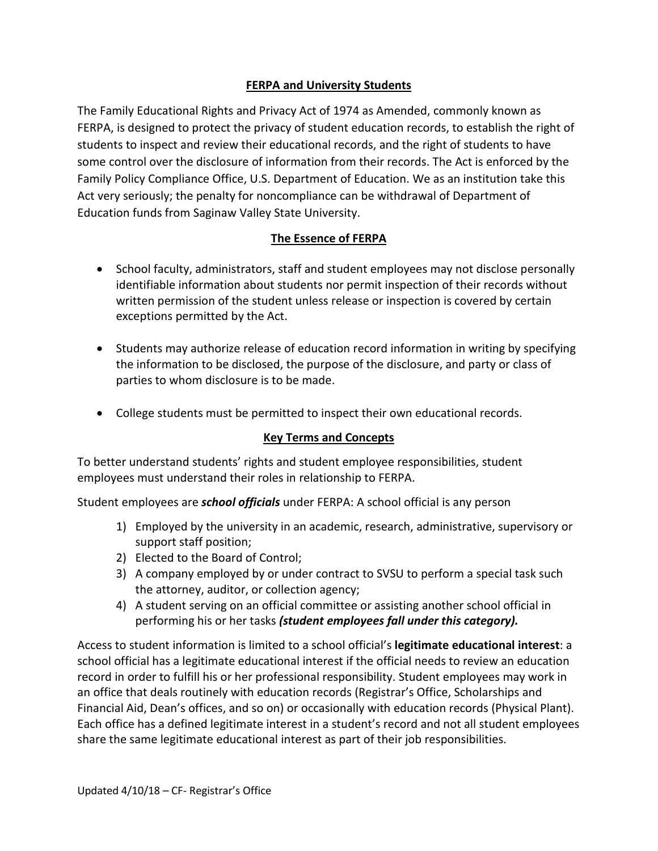# **FERPA and University Students**

The Family Educational Rights and Privacy Act of 1974 as Amended, commonly known as FERPA, is designed to protect the privacy of student education records, to establish the right of students to inspect and review their educational records, and the right of students to have some control over the disclosure of information from their records. The Act is enforced by the Family Policy Compliance Office, U.S. Department of Education. We as an institution take this Act very seriously; the penalty for noncompliance can be withdrawal of Department of Education funds from Saginaw Valley State University.

# **The Essence of FERPA**

- School faculty, administrators, staff and student employees may not disclose personally identifiable information about students nor permit inspection of their records without written permission of the student unless release or inspection is covered by certain exceptions permitted by the Act.
- Students may authorize release of education record information in writing by specifying the information to be disclosed, the purpose of the disclosure, and party or class of parties to whom disclosure is to be made.
- College students must be permitted to inspect their own educational records.

## **Key Terms and Concepts**

To better understand students' rights and student employee responsibilities, student employees must understand their roles in relationship to FERPA.

Student employees are *school officials* under FERPA: A school official is any person

- 1) Employed by the university in an academic, research, administrative, supervisory or support staff position;
- 2) Elected to the Board of Control;
- 3) A company employed by or under contract to SVSU to perform a special task such the attorney, auditor, or collection agency;
- 4) A student serving on an official committee or assisting another school official in performing his or her tasks *(student employees fall under this category).*

Access to student information is limited to a school official's **legitimate educational interest**: a school official has a legitimate educational interest if the official needs to review an education record in order to fulfill his or her professional responsibility. Student employees may work in an office that deals routinely with education records (Registrar's Office, Scholarships and Financial Aid, Dean's offices, and so on) or occasionally with education records (Physical Plant). Each office has a defined legitimate interest in a student's record and not all student employees share the same legitimate educational interest as part of their job responsibilities.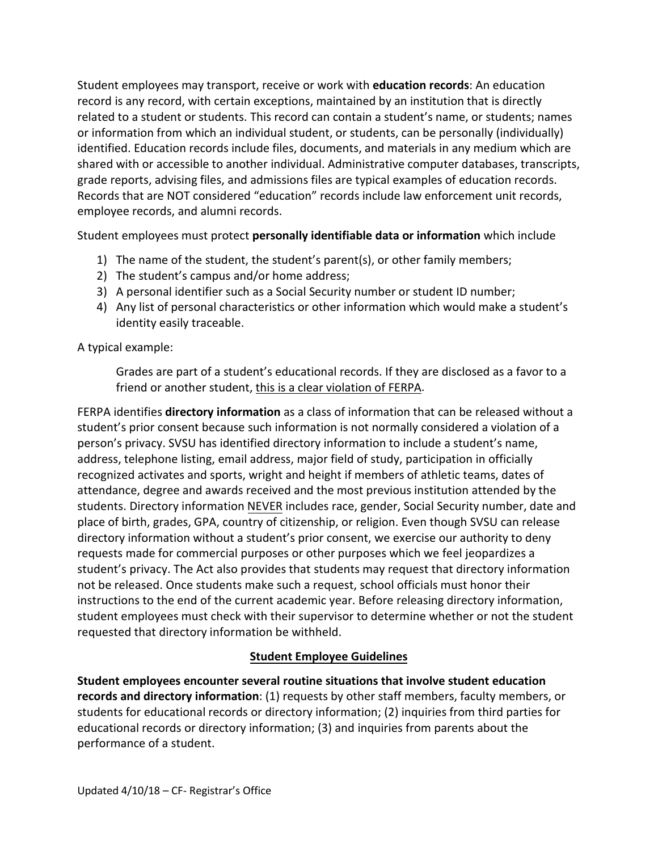Student employees may transport, receive or work with **education records**: An education record is any record, with certain exceptions, maintained by an institution that is directly related to a student or students. This record can contain a student's name, or students; names or information from which an individual student, or students, can be personally (individually) identified. Education records include files, documents, and materials in any medium which are shared with or accessible to another individual. Administrative computer databases, transcripts, grade reports, advising files, and admissions files are typical examples of education records. Records that are NOT considered "education" records include law enforcement unit records, employee records, and alumni records.

Student employees must protect **personally identifiable data or information** which include

- 1) The name of the student, the student's parent(s), or other family members;
- 2) The student's campus and/or home address;
- 3) A personal identifier such as a Social Security number or student ID number;
- 4) Any list of personal characteristics or other information which would make a student's identity easily traceable.

A typical example:

Grades are part of a student's educational records. If they are disclosed as a favor to a friend or another student, this is a clear violation of FERPA.

FERPA identifies **directory information** as a class of information that can be released without a student's prior consent because such information is not normally considered a violation of a person's privacy. SVSU has identified directory information to include a student's name, address, telephone listing, email address, major field of study, participation in officially recognized activates and sports, wright and height if members of athletic teams, dates of attendance, degree and awards received and the most previous institution attended by the students. Directory information NEVER includes race, gender, Social Security number, date and place of birth, grades, GPA, country of citizenship, or religion. Even though SVSU can release directory information without a student's prior consent, we exercise our authority to deny requests made for commercial purposes or other purposes which we feel jeopardizes a student's privacy. The Act also provides that students may request that directory information not be released. Once students make such a request, school officials must honor their instructions to the end of the current academic year. Before releasing directory information, student employees must check with their supervisor to determine whether or not the student requested that directory information be withheld.

## **Student Employee Guidelines**

**Student employees encounter several routine situations that involve student education records and directory information**: (1) requests by other staff members, faculty members, or students for educational records or directory information; (2) inquiries from third parties for educational records or directory information; (3) and inquiries from parents about the performance of a student.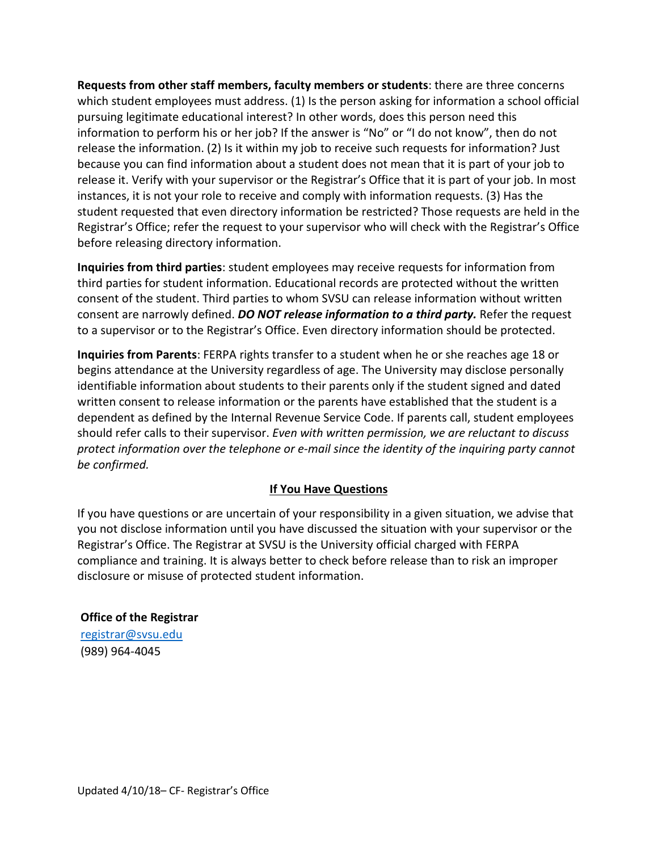**Requests from other staff members, faculty members or students**: there are three concerns which student employees must address. (1) Is the person asking for information a school official pursuing legitimate educational interest? In other words, does this person need this information to perform his or her job? If the answer is "No" or "I do not know", then do not release the information. (2) Is it within my job to receive such requests for information? Just because you can find information about a student does not mean that it is part of your job to release it. Verify with your supervisor or the Registrar's Office that it is part of your job. In most instances, it is not your role to receive and comply with information requests. (3) Has the student requested that even directory information be restricted? Those requests are held in the Registrar's Office; refer the request to your supervisor who will check with the Registrar's Office before releasing directory information.

**Inquiries from third parties**: student employees may receive requests for information from third parties for student information. Educational records are protected without the written consent of the student. Third parties to whom SVSU can release information without written consent are narrowly defined. *DO NOT release information to a third party.* Refer the request to a supervisor or to the Registrar's Office. Even directory information should be protected.

**Inquiries from Parents**: FERPA rights transfer to a student when he or she reaches age 18 or begins attendance at the University regardless of age. The University may disclose personally identifiable information about students to their parents only if the student signed and dated written consent to release information or the parents have established that the student is a dependent as defined by the Internal Revenue Service Code. If parents call, student employees should refer calls to their supervisor. *Even with written permission, we are reluctant to discuss protect information over the telephone or e-mail since the identity of the inquiring party cannot be confirmed.*

#### **If You Have Questions**

If you have questions or are uncertain of your responsibility in a given situation, we advise that you not disclose information until you have discussed the situation with your supervisor or the Registrar's Office. The Registrar at SVSU is the University official charged with FERPA compliance and training. It is always better to check before release than to risk an improper disclosure or misuse of protected student information.

#### **Office of the Registrar**

[registrar@svsu.edu](mailto:registrar@svsu.edu)  (989) 964-4045